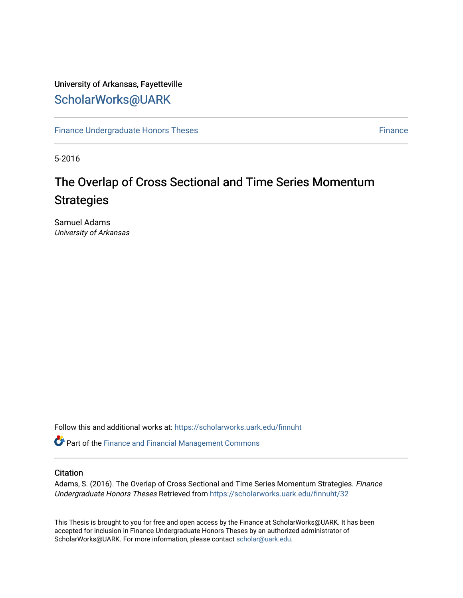# University of Arkansas, Fayetteville [ScholarWorks@UARK](https://scholarworks.uark.edu/)

[Finance Undergraduate Honors Theses](https://scholarworks.uark.edu/finnuht) **[Finance](https://scholarworks.uark.edu/finn) Executes** Finance Finance

5-2016

# The Overlap of Cross Sectional and Time Series Momentum **Strategies**

Samuel Adams University of Arkansas

Follow this and additional works at: [https://scholarworks.uark.edu/finnuht](https://scholarworks.uark.edu/finnuht?utm_source=scholarworks.uark.edu%2Ffinnuht%2F32&utm_medium=PDF&utm_campaign=PDFCoverPages)

Part of the [Finance and Financial Management Commons](http://network.bepress.com/hgg/discipline/631?utm_source=scholarworks.uark.edu%2Ffinnuht%2F32&utm_medium=PDF&utm_campaign=PDFCoverPages) 

# **Citation**

Adams, S. (2016). The Overlap of Cross Sectional and Time Series Momentum Strategies. Finance Undergraduate Honors Theses Retrieved from [https://scholarworks.uark.edu/finnuht/32](https://scholarworks.uark.edu/finnuht/32?utm_source=scholarworks.uark.edu%2Ffinnuht%2F32&utm_medium=PDF&utm_campaign=PDFCoverPages)

This Thesis is brought to you for free and open access by the Finance at ScholarWorks@UARK. It has been accepted for inclusion in Finance Undergraduate Honors Theses by an authorized administrator of ScholarWorks@UARK. For more information, please contact [scholar@uark.edu](mailto:scholar@uark.edu).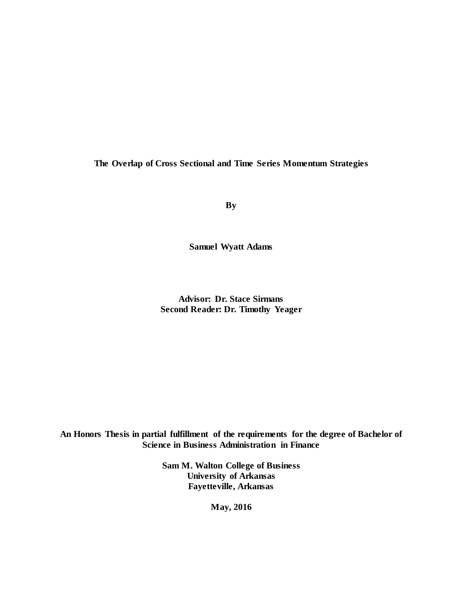**The Overlap of Cross Sectional and Time Series Momentum Strategies**

**By**

**Samuel Wyatt Adams**

**Advisor: Dr. Stace Sirmans Second Reader: Dr. Timothy Yeager**

**An Honors Thesis in partial fulfillment of the requirements for the degree of Bachelor of Science in Business Administration in Finance**

> **Sam M. Walton College of Business University of Arkansas Fayetteville, Arkansas**

> > **May, 2016**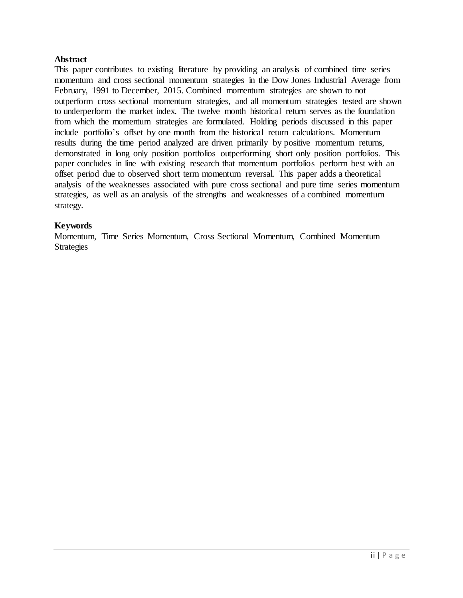# **Abstract**

This paper contributes to existing literature by providing an analysis of combined time series momentum and cross sectional momentum strategies in the Dow Jones Industrial Average from February, 1991 to December, 2015. Combined momentum strategies are shown to not outperform cross sectional momentum strategies, and all momentum strategies tested are shown to underperform the market index. The twelve month historical return serves as the foundation from which the momentum strategies are formulated. Holding periods discussed in this paper include portfolio's offset by one month from the historical return calculations. Momentum results during the time period analyzed are driven primarily by positive momentum returns, demonstrated in long only position portfolios outperforming short only position portfolios. This paper concludes in line with existing research that momentum portfolios perform best with an offset period due to observed short term momentum reversal. This paper adds a theoretical analysis of the weaknesses associated with pure cross sectional and pure time series momentum strategies, as well as an analysis of the strengths and weaknesses of a combined momentum strategy.

# **Keywords**

Momentum, Time Series Momentum, Cross Sectional Momentum, Combined Momentum Strategies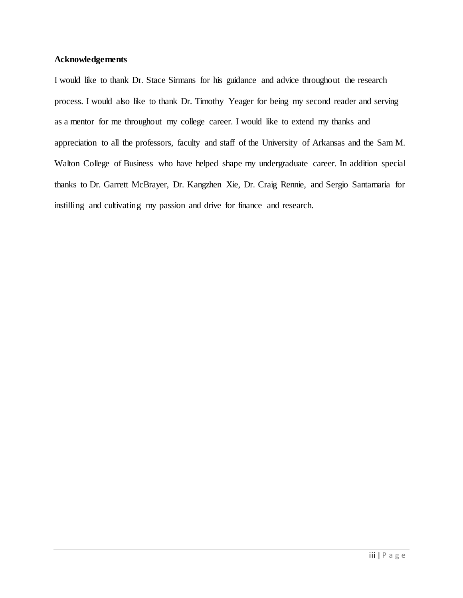# **Acknowledgements**

I would like to thank Dr. Stace Sirmans for his guidance and advice throughout the research process. I would also like to thank Dr. Timothy Yeager for being my second reader and serving as a mentor for me throughout my college career. I would like to extend my thanks and appreciation to all the professors, faculty and staff of the University of Arkansas and the Sam M. Walton College of Business who have helped shape my undergraduate career. In addition special thanks to Dr. Garrett McBrayer, Dr. Kangzhen Xie, Dr. Craig Rennie, and Sergio Santamaria for instilling and cultivating my passion and drive for finance and research.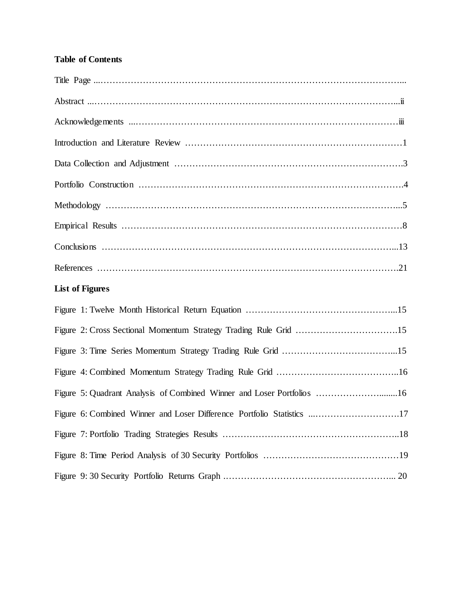# **Table of Contents**

| <b>List of Figures</b>                                                 |
|------------------------------------------------------------------------|
|                                                                        |
|                                                                        |
|                                                                        |
|                                                                        |
| Figure 5: Quadrant Analysis of Combined Winner and Loser Portfolios 16 |
| Figure 6: Combined Winner and Loser Difference Portfolio Statistics 17 |
|                                                                        |
|                                                                        |
|                                                                        |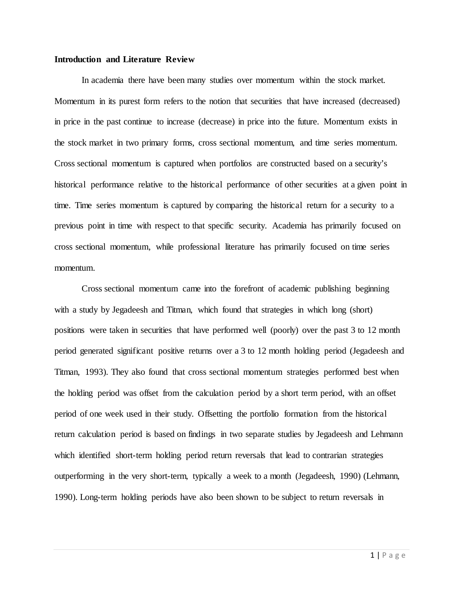## **Introduction and Literature Review**

In academia there have been many studies over momentum within the stock market. Momentum in its purest form refers to the notion that securities that have increased (decreased) in price in the past continue to increase (decrease) in price into the future. Momentum exists in the stock market in two primary forms, cross sectional momentum, and time series momentum. Cross sectional momentum is captured when portfolios are constructed based on a security's historical performance relative to the historical performance of other securities at a given point in time. Time series momentum is captured by comparing the historical return for a security to a previous point in time with respect to that specific security. Academia has primarily focused on cross sectional momentum, while professional literature has primarily focused on time series momentum.

Cross sectional momentum came into the forefront of academic publishing beginning with a study by Jegadeesh and Titman, which found that strategies in which long (short) positions were taken in securities that have performed well (poorly) over the past 3 to 12 month period generated significant positive returns over a 3 to 12 month holding period (Jegadeesh and Titman, 1993). They also found that cross sectional momentum strategies performed best when the holding period was offset from the calculation period by a short term period, with an offset period of one week used in their study. Offsetting the portfolio formation from the historical return calculation period is based on findings in two separate studies by Jegadeesh and Lehmann which identified short-term holding period return reversals that lead to contrarian strategies outperforming in the very short-term, typically a week to a month (Jegadeesh, 1990) (Lehmann, 1990). Long-term holding periods have also been shown to be subject to return reversals in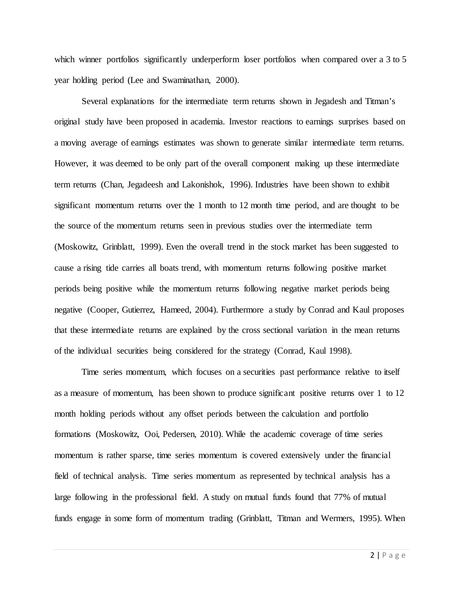which winner portfolios significantly underperform loser portfolios when compared over a 3 to 5 year holding period (Lee and Swaminathan, 2000).

Several explanations for the intermediate term returns shown in Jegadesh and Titman's original study have been proposed in academia. Investor reactions to earnings surprises based on a moving average of earnings estimates was shown to generate similar intermediate term returns. However, it was deemed to be only part of the overall component making up these intermediate term returns (Chan, Jegadeesh and Lakonishok, 1996). Industries have been shown to exhibit significant momentum returns over the 1 month to 12 month time period, and are thought to be the source of the momentum returns seen in previous studies over the intermediate term (Moskowitz, Grinblatt, 1999). Even the overall trend in the stock market has been suggested to cause a rising tide carries all boats trend, with momentum returns following positive market periods being positive while the momentum returns following negative market periods being negative (Cooper, Gutierrez, Hameed, 2004). Furthermore a study by Conrad and Kaul proposes that these intermediate returns are explained by the cross sectional variation in the mean returns of the individual securities being considered for the strategy (Conrad, Kaul 1998).

Time series momentum, which focuses on a securities past performance relative to itself as a measure of momentum, has been shown to produce significant positive returns over 1 to 12 month holding periods without any offset periods between the calculation and portfolio formations (Moskowitz, Ooi, Pedersen, 2010). While the academic coverage of time series momentum is rather sparse, time series momentum is covered extensively under the financial field of technical analysis. Time series momentum as represented by technical analysis has a large following in the professional field. A study on mutual funds found that 77% of mutual funds engage in some form of momentum trading (Grinblatt, Titman and Wermers, 1995). When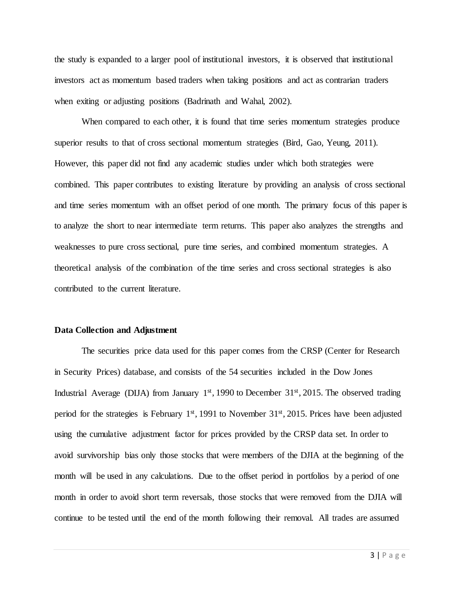the study is expanded to a larger pool of institutional investors, it is observed that institutional investors act as momentum based traders when taking positions and act as contrarian traders when exiting or adjusting positions (Badrinath and Wahal, 2002).

When compared to each other, it is found that time series momentum strategies produce superior results to that of cross sectional momentum strategies (Bird, Gao, Yeung, 2011). However, this paper did not find any academic studies under which both strategies were combined. This paper contributes to existing literature by providing an analysis of cross sectional and time series momentum with an offset period of one month. The primary focus of this paper is to analyze the short to near intermediate term returns. This paper also analyzes the strengths and weaknesses to pure cross sectional, pure time series, and combined momentum strategies. A theoretical analysis of the combination of the time series and cross sectional strategies is also contributed to the current literature.

#### **Data Collection and Adjustment**

The securities price data used for this paper comes from the CRSP (Center for Research in Security Prices) database, and consists of the 54 securities included in the Dow Jones Industrial Average (DIJA) from January  $1<sup>st</sup>$ , 1990 to December 31 $<sup>st</sup>$ , 2015. The observed trading</sup> period for the strategies is February  $1<sup>st</sup>$ , 1991 to November 31 $<sup>st</sup>$ , 2015. Prices have been adjusted</sup> using the cumulative adjustment factor for prices provided by the CRSP data set. In order to avoid survivorship bias only those stocks that were members of the DJIA at the beginning of the month will be used in any calculations. Due to the offset period in portfolios by a period of one month in order to avoid short term reversals, those stocks that were removed from the DJIA will continue to be tested until the end of the month following their removal. All trades are assumed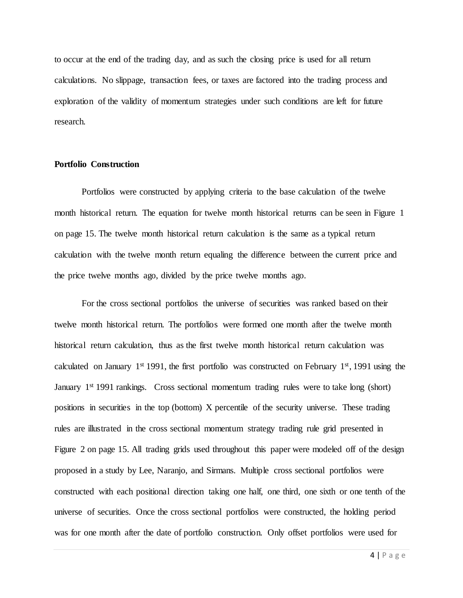to occur at the end of the trading day, and as such the closing price is used for all return calculations. No slippage, transaction fees, or taxes are factored into the trading process and exploration of the validity of momentum strategies under such conditions are left for future research.

## **Portfolio Construction**

Portfolios were constructed by applying criteria to the base calculation of the twelve month historical return. The equation for twelve month historical returns can be seen in Figure 1 on page 15. The twelve month historical return calculation is the same as a typical return calculation with the twelve month return equaling the difference between the current price and the price twelve months ago, divided by the price twelve months ago.

For the cross sectional portfolios the universe of securities was ranked based on their twelve month historical return. The portfolios were formed one month after the twelve month historical return calculation, thus as the first twelve month historical return calculation was calculated on January  $1<sup>st</sup> 1991$ , the first portfolio was constructed on February  $1<sup>st</sup>$ , 1991 using the January 1<sup>st</sup> 1991 rankings. Cross sectional momentum trading rules were to take long (short) positions in securities in the top (bottom) X percentile of the security universe. These trading rules are illustrated in the cross sectional momentum strategy trading rule grid presented in Figure 2 on page 15. All trading grids used throughout this paper were modeled off of the design proposed in a study by Lee, Naranjo, and Sirmans. Multiple cross sectional portfolios were constructed with each positional direction taking one half, one third, one sixth or one tenth of the universe of securities. Once the cross sectional portfolios were constructed, the holding period was for one month after the date of portfolio construction. Only offset portfolios were used for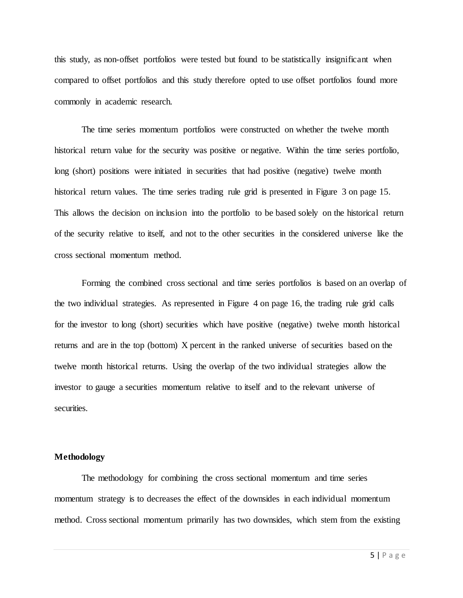this study, as non-offset portfolios were tested but found to be statistically insignificant when compared to offset portfolios and this study therefore opted to use offset portfolios found more commonly in academic research.

The time series momentum portfolios were constructed on whether the twelve month historical return value for the security was positive or negative. Within the time series portfolio, long (short) positions were initiated in securities that had positive (negative) twelve month historical return values. The time series trading rule grid is presented in Figure 3 on page 15. This allows the decision on inclusion into the portfolio to be based solely on the historical return of the security relative to itself, and not to the other securities in the considered universe like the cross sectional momentum method.

Forming the combined cross sectional and time series portfolios is based on an overlap of the two individual strategies. As represented in Figure 4 on page 16, the trading rule grid calls for the investor to long (short) securities which have positive (negative) twelve month historical returns and are in the top (bottom) X percent in the ranked universe of securities based on the twelve month historical returns. Using the overlap of the two individual strategies allow the investor to gauge a securities momentum relative to itself and to the relevant universe of securities.

# **Methodology**

The methodology for combining the cross sectional momentum and time series momentum strategy is to decreases the effect of the downsides in each individual momentum method. Cross sectional momentum primarily has two downsides, which stem from the existing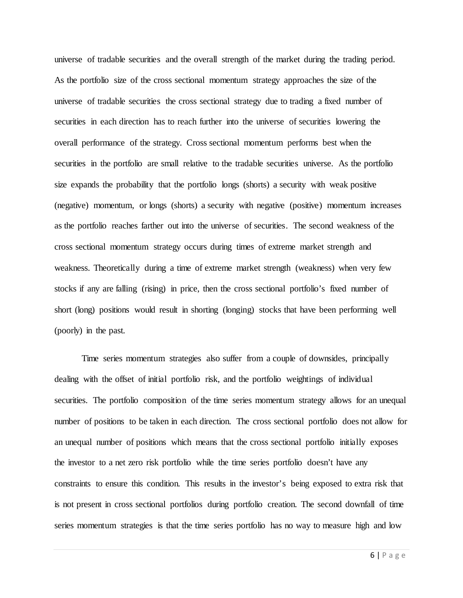universe of tradable securities and the overall strength of the market during the trading period. As the portfolio size of the cross sectional momentum strategy approaches the size of the universe of tradable securities the cross sectional strategy due to trading a fixed number of securities in each direction has to reach further into the universe of securities lowering the overall performance of the strategy. Cross sectional momentum performs best when the securities in the portfolio are small relative to the tradable securities universe. As the portfolio size expands the probability that the portfolio longs (shorts) a security with weak positive (negative) momentum, or longs (shorts) a security with negative (positive) momentum increases as the portfolio reaches farther out into the universe of securities. The second weakness of the cross sectional momentum strategy occurs during times of extreme market strength and weakness. Theoretically during a time of extreme market strength (weakness) when very few stocks if any are falling (rising) in price, then the cross sectional portfolio's fixed number of short (long) positions would result in shorting (longing) stocks that have been performing well (poorly) in the past.

Time series momentum strategies also suffer from a couple of downsides, principally dealing with the offset of initial portfolio risk, and the portfolio weightings of individual securities. The portfolio composition of the time series momentum strategy allows for an unequal number of positions to be taken in each direction. The cross sectional portfolio does not allow for an unequal number of positions which means that the cross sectional portfolio initially exposes the investor to a net zero risk portfolio while the time series portfolio doesn't have any constraints to ensure this condition. This results in the investor's being exposed to extra risk that is not present in cross sectional portfolios during portfolio creation. The second downfall of time series momentum strategies is that the time series portfolio has no way to measure high and low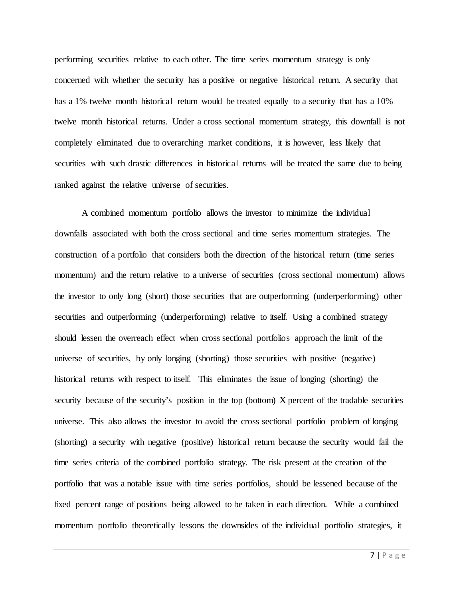performing securities relative to each other. The time series momentum strategy is only concerned with whether the security has a positive or negative historical return. A security that has a 1% twelve month historical return would be treated equally to a security that has a 10% twelve month historical returns. Under a cross sectional momentum strategy, this downfall is not completely eliminated due to overarching market conditions, it is however, less likely that securities with such drastic differences in historical returns will be treated the same due to being ranked against the relative universe of securities.

A combined momentum portfolio allows the investor to minimize the individual downfalls associated with both the cross sectional and time series momentum strategies. The construction of a portfolio that considers both the direction of the historical return (time series momentum) and the return relative to a universe of securities (cross sectional momentum) allows the investor to only long (short) those securities that are outperforming (underperforming) other securities and outperforming (underperforming) relative to itself. Using a combined strategy should lessen the overreach effect when cross sectional portfolios approach the limit of the universe of securities, by only longing (shorting) those securities with positive (negative) historical returns with respect to itself. This eliminates the issue of longing (shorting) the security because of the security's position in the top (bottom) X percent of the tradable securities universe. This also allows the investor to avoid the cross sectional portfolio problem of longing (shorting) a security with negative (positive) historical return because the security would fail the time series criteria of the combined portfolio strategy. The risk present at the creation of the portfolio that was a notable issue with time series portfolios, should be lessened because of the fixed percent range of positions being allowed to be taken in each direction. While a combined momentum portfolio theoretically lessons the downsides of the individual portfolio strategies, it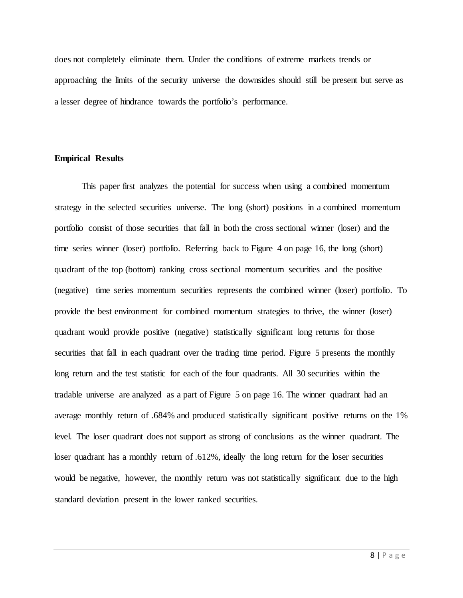does not completely eliminate them. Under the conditions of extreme markets trends or approaching the limits of the security universe the downsides should still be present but serve as a lesser degree of hindrance towards the portfolio's performance.

## **Empirical Results**

This paper first analyzes the potential for success when using a combined momentum strategy in the selected securities universe. The long (short) positions in a combined momentum portfolio consist of those securities that fall in both the cross sectional winner (loser) and the time series winner (loser) portfolio. Referring back to Figure 4 on page 16, the long (short) quadrant of the top (bottom) ranking cross sectional momentum securities and the positive (negative) time series momentum securities represents the combined winner (loser) portfolio. To provide the best environment for combined momentum strategies to thrive, the winner (loser) quadrant would provide positive (negative) statistically significant long returns for those securities that fall in each quadrant over the trading time period. Figure 5 presents the monthly long return and the test statistic for each of the four quadrants. All 30 securities within the tradable universe are analyzed as a part of Figure 5 on page 16. The winner quadrant had an average monthly return of .684% and produced statistically significant positive returns on the 1% level. The loser quadrant does not support as strong of conclusions as the winner quadrant. The loser quadrant has a monthly return of .612%, ideally the long return for the loser securities would be negative, however, the monthly return was not statistically significant due to the high standard deviation present in the lower ranked securities.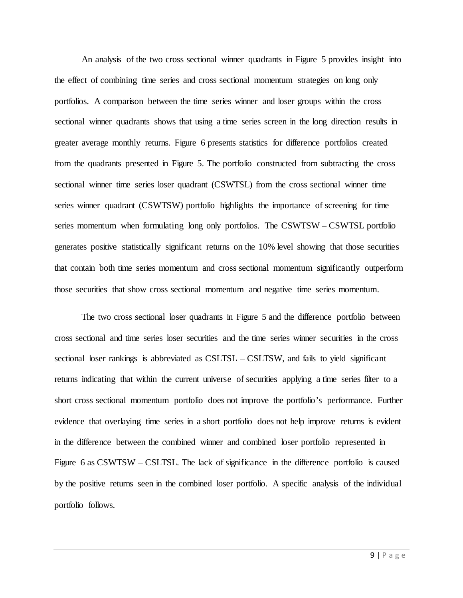An analysis of the two cross sectional winner quadrants in Figure 5 provides insight into the effect of combining time series and cross sectional momentum strategies on long only portfolios. A comparison between the time series winner and loser groups within the cross sectional winner quadrants shows that using a time series screen in the long direction results in greater average monthly returns. Figure 6 presents statistics for difference portfolios created from the quadrants presented in Figure 5. The portfolio constructed from subtracting the cross sectional winner time series loser quadrant (CSWTSL) from the cross sectional winner time series winner quadrant (CSWTSW) portfolio highlights the importance of screening for time series momentum when formulating long only portfolios. The CSWTSW – CSWTSL portfolio generates positive statistically significant returns on the 10% level showing that those securities that contain both time series momentum and cross sectional momentum significantly outperform those securities that show cross sectional momentum and negative time series momentum.

The two cross sectional loser quadrants in Figure 5 and the difference portfolio between cross sectional and time series loser securities and the time series winner securities in the cross sectional loser rankings is abbreviated as CSLTSL – CSLTSW, and fails to yield significant returns indicating that within the current universe of securities applying a time series filter to a short cross sectional momentum portfolio does not improve the portfolio's performance. Further evidence that overlaying time series in a short portfolio does not help improve returns is evident in the difference between the combined winner and combined loser portfolio represented in Figure 6 as CSWTSW – CSLTSL. The lack of significance in the difference portfolio is caused by the positive returns seen in the combined loser portfolio. A specific analysis of the individual portfolio follows.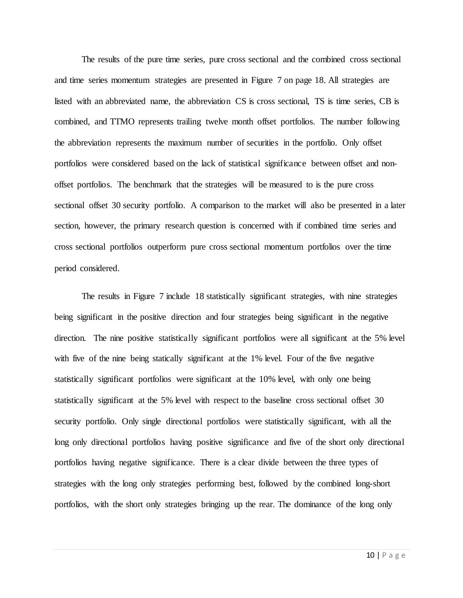The results of the pure time series, pure cross sectional and the combined cross sectional and time series momentum strategies are presented in Figure 7 on page 18. All strategies are listed with an abbreviated name, the abbreviation CS is cross sectional, TS is time series, CB is combined, and TTMO represents trailing twelve month offset portfolios. The number following the abbreviation represents the maximum number of securities in the portfolio. Only offset portfolios were considered based on the lack of statistical significance between offset and nonoffset portfolios. The benchmark that the strategies will be measured to is the pure cross sectional offset 30 security portfolio. A comparison to the market will also be presented in a later section, however, the primary research question is concerned with if combined time series and cross sectional portfolios outperform pure cross sectional momentum portfolios over the time period considered.

The results in Figure 7 include 18 statistically significant strategies, with nine strategies being significant in the positive direction and four strategies being significant in the negative direction. The nine positive statistically significant portfolios were all significant at the 5% level with five of the nine being statically significant at the 1% level. Four of the five negative statistically significant portfolios were significant at the 10% level, with only one being statistically significant at the 5% level with respect to the baseline cross sectional offset 30 security portfolio. Only single directional portfolios were statistically significant, with all the long only directional portfolios having positive significance and five of the short only directional portfolios having negative significance. There is a clear divide between the three types of strategies with the long only strategies performing best, followed by the combined long-short portfolios, with the short only strategies bringing up the rear. The dominance of the long only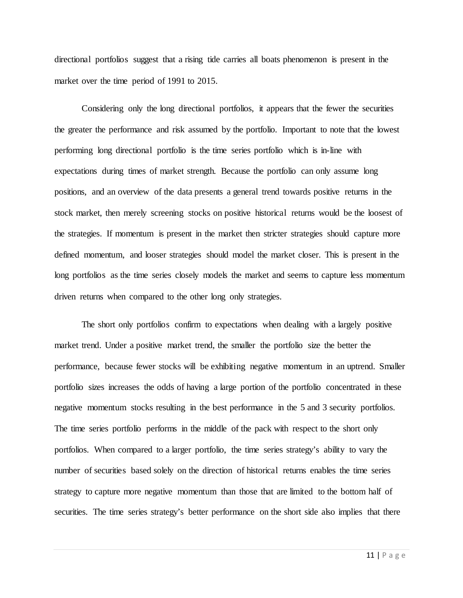directional portfolios suggest that a rising tide carries all boats phenomenon is present in the market over the time period of 1991 to 2015.

Considering only the long directional portfolios, it appears that the fewer the securities the greater the performance and risk assumed by the portfolio. Important to note that the lowest performing long directional portfolio is the time series portfolio which is in-line with expectations during times of market strength. Because the portfolio can only assume long positions, and an overview of the data presents a general trend towards positive returns in the stock market, then merely screening stocks on positive historical returns would be the loosest of the strategies. If momentum is present in the market then stricter strategies should capture more defined momentum, and looser strategies should model the market closer. This is present in the long portfolios as the time series closely models the market and seems to capture less momentum driven returns when compared to the other long only strategies.

The short only portfolios confirm to expectations when dealing with a largely positive market trend. Under a positive market trend, the smaller the portfolio size the better the performance, because fewer stocks will be exhibiting negative momentum in an uptrend. Smaller portfolio sizes increases the odds of having a large portion of the portfolio concentrated in these negative momentum stocks resulting in the best performance in the 5 and 3 security portfolios. The time series portfolio performs in the middle of the pack with respect to the short only portfolios. When compared to a larger portfolio, the time series strategy's ability to vary the number of securities based solely on the direction of historical returns enables the time series strategy to capture more negative momentum than those that are limited to the bottom half of securities. The time series strategy's better performance on the short side also implies that there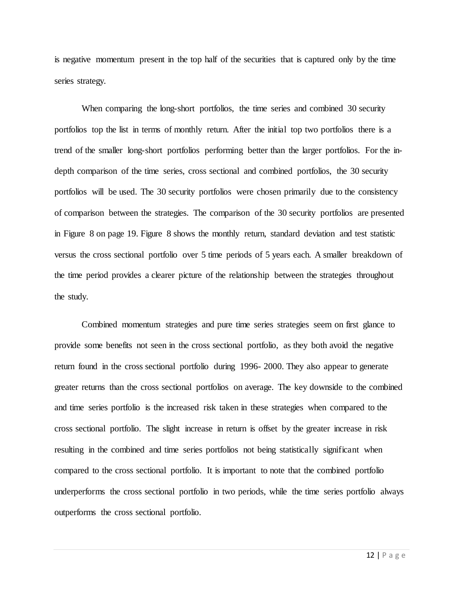is negative momentum present in the top half of the securities that is captured only by the time series strategy.

When comparing the long-short portfolios, the time series and combined 30 security portfolios top the list in terms of monthly return. After the initial top two portfolios there is a trend of the smaller long-short portfolios performing better than the larger portfolios. For the indepth comparison of the time series, cross sectional and combined portfolios, the 30 security portfolios will be used. The 30 security portfolios were chosen primarily due to the consistency of comparison between the strategies. The comparison of the 30 security portfolios are presented in Figure 8 on page 19. Figure 8 shows the monthly return, standard deviation and test statistic versus the cross sectional portfolio over 5 time periods of 5 years each. A smaller breakdown of the time period provides a clearer picture of the relationship between the strategies throughout the study.

Combined momentum strategies and pure time series strategies seem on first glance to provide some benefits not seen in the cross sectional portfolio, as they both avoid the negative return found in the cross sectional portfolio during 1996- 2000. They also appear to generate greater returns than the cross sectional portfolios on average. The key downside to the combined and time series portfolio is the increased risk taken in these strategies when compared to the cross sectional portfolio. The slight increase in return is offset by the greater increase in risk resulting in the combined and time series portfolios not being statistically significant when compared to the cross sectional portfolio. It is important to note that the combined portfolio underperforms the cross sectional portfolio in two periods, while the time series portfolio always outperforms the cross sectional portfolio.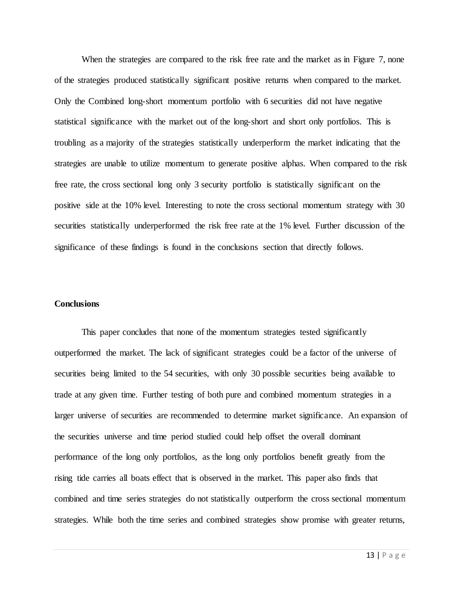When the strategies are compared to the risk free rate and the market as in Figure 7, none of the strategies produced statistically significant positive returns when compared to the market. Only the Combined long-short momentum portfolio with 6 securities did not have negative statistical significance with the market out of the long-short and short only portfolios. This is troubling as a majority of the strategies statistically underperform the market indicating that the strategies are unable to utilize momentum to generate positive alphas. When compared to the risk free rate, the cross sectional long only 3 security portfolio is statistically significant on the positive side at the 10% level. Interesting to note the cross sectional momentum strategy with 30 securities statistically underperformed the risk free rate at the 1% level. Further discussion of the significance of these findings is found in the conclusions section that directly follows.

# **Conclusions**

This paper concludes that none of the momentum strategies tested significantly outperformed the market. The lack of significant strategies could be a factor of the universe of securities being limited to the 54 securities, with only 30 possible securities being available to trade at any given time. Further testing of both pure and combined momentum strategies in a larger universe of securities are recommended to determine market significance. An expansion of the securities universe and time period studied could help offset the overall dominant performance of the long only portfolios, as the long only portfolios benefit greatly from the rising tide carries all boats effect that is observed in the market. This paper also finds that combined and time series strategies do not statistically outperform the cross sectional momentum strategies. While both the time series and combined strategies show promise with greater returns,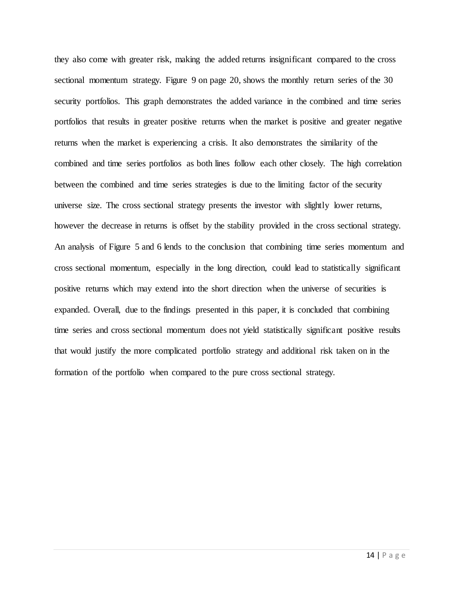they also come with greater risk, making the added returns insignificant compared to the cross sectional momentum strategy. Figure 9 on page 20, shows the monthly return series of the 30 security portfolios. This graph demonstrates the added variance in the combined and time series portfolios that results in greater positive returns when the market is positive and greater negative returns when the market is experiencing a crisis. It also demonstrates the similarity of the combined and time series portfolios as both lines follow each other closely. The high correlation between the combined and time series strategies is due to the limiting factor of the security universe size. The cross sectional strategy presents the investor with slightly lower returns, however the decrease in returns is offset by the stability provided in the cross sectional strategy. An analysis of Figure 5 and 6 lends to the conclusion that combining time series momentum and cross sectional momentum, especially in the long direction, could lead to statistically significant positive returns which may extend into the short direction when the universe of securities is expanded. Overall, due to the findings presented in this paper, it is concluded that combining time series and cross sectional momentum does not yield statistically significant positive results that would justify the more complicated portfolio strategy and additional risk taken on in the formation of the portfolio when compared to the pure cross sectional strategy.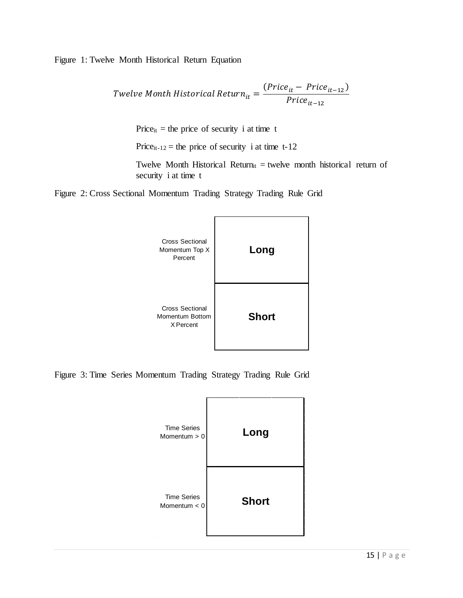Figure 1: Twelve Month Historical Return Equation

$$
Twe lve \t{Month Historical Return}_{it} = \frac{(Price_{it} - Price_{it-12})}{Price_{it-12}}
$$

Price<sub>it</sub> = the price of security i at time t

Price<sub>it-12</sub> = the price of security i at time t-12

Twelve Month Historical Return<sub>it</sub> = twelve month historical return of security i at time t

Figure 2: Cross Sectional Momentum Trading Strategy Trading Rule Grid



Figure 3: Time Series Momentum Trading Strategy Trading Rule Grid

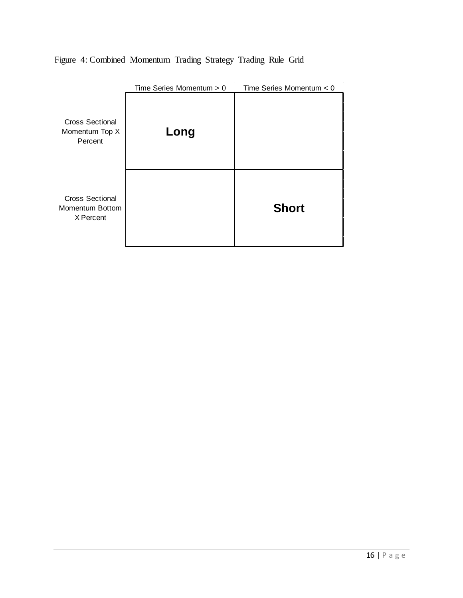|                                                        | Time Series Momentum $> 0$ | Time Series Momentum $< 0$ |
|--------------------------------------------------------|----------------------------|----------------------------|
| <b>Cross Sectional</b><br>Momentum Top X<br>Percent    | Long                       |                            |
| <b>Cross Sectional</b><br>Momentum Bottom<br>X Percent |                            | <b>Short</b>               |

Figure 4: Combined Momentum Trading Strategy Trading Rule Grid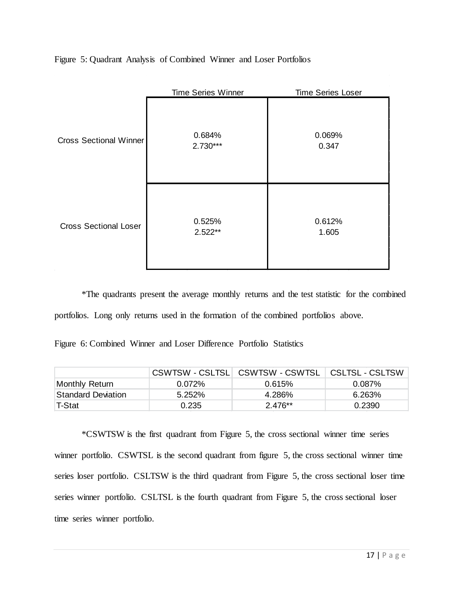Figure 5: Quadrant Analysis of Combined Winner and Loser Portfolios

|                               | <b>Time Series Winner</b> | <b>Time Series Loser</b> |
|-------------------------------|---------------------------|--------------------------|
| <b>Cross Sectional Winner</b> | 0.684%<br>$2.730***$      | 0.069%<br>0.347          |
| <b>Cross Sectional Loser</b>  | 0.525%<br>$2.522**$       | 0.612%<br>1.605          |

\*The quadrants present the average monthly returns and the test statistic for the combined portfolios. Long only returns used in the formation of the combined portfolios above.

| Figure 6: Combined Winner and Loser Difference Portfolio Statistics |  |  |  |
|---------------------------------------------------------------------|--|--|--|
|                                                                     |  |  |  |

|                           |           | CSWTSW - CSLTSL CSWTSW - CSWTSL | CSLTSL - CSLTSW |
|---------------------------|-----------|---------------------------------|-----------------|
| Monthly Return            | $0.072\%$ | 0.615%                          | $0.087\%$       |
| <b>Standard Deviation</b> | 5.252%    | 4.286%                          | 6.263%          |
| 'T-Stat                   | 0.235     | $2.476**$                       | 0.2390          |

\*CSWTSW is the first quadrant from Figure 5, the cross sectional winner time series winner portfolio. CSWTSL is the second quadrant from figure 5, the cross sectional winner time series loser portfolio. CSLTSW is the third quadrant from Figure 5, the cross sectional loser time series winner portfolio. CSLTSL is the fourth quadrant from Figure 5, the cross sectional loser time series winner portfolio.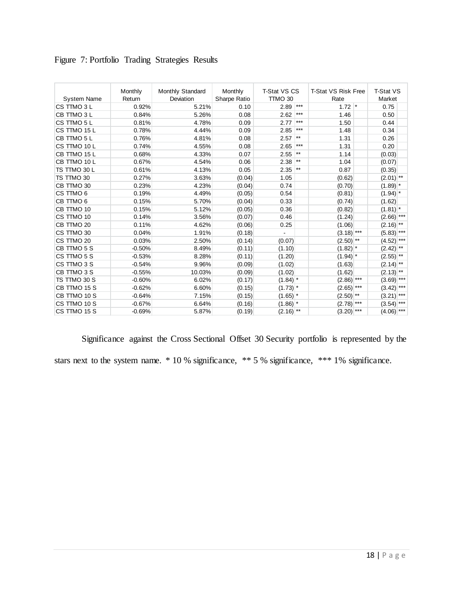|                    | Monthly  | Monthly Standard | Monthly      | <b>T-Stat VS CS</b>   |                 | T-Stat VS Risk Free |                 | T-Stat VS    |
|--------------------|----------|------------------|--------------|-----------------------|-----------------|---------------------|-----------------|--------------|
| <b>System Name</b> | Return   | <b>Deviation</b> | Sharpe Ratio | TTMO 30               |                 | Rate                |                 | Market       |
| CS TTMO 3 L        | 0.92%    | 5.21%            | 0.10         | 2.89                  | $***$           | 1.72                | $\mathbf{\ast}$ | 0.75         |
| CB TTMO 3 L        | 0.84%    | 5.26%            | 0.08         | 2.62                  | $***$           | 1.46                |                 | 0.50         |
| CS TTMO 5 L        | 0.81%    | 4.78%            | 0.09         | 2.77                  | $***$           | 1.50                |                 | 0.44         |
| CS TTMO 15 L       | 0.78%    | 4.44%            | 0.09         | 2.85                  | $***$           | 1.48                |                 | 0.34         |
| CB TTMO 5 L        | 0.76%    | 4.81%            | 0.08         | 2.57                  | $***$           | 1.31                |                 | 0.26         |
| CS TTMO 10 L       | 0.74%    | 4.55%            | 0.08         | 2.65                  | $***$           | 1.31                |                 | 0.20         |
| CB TTMO 15 L       | 0.68%    | 4.33%            | 0.07         | 2.55                  | $^{\star\star}$ | 1.14                |                 | (0.03)       |
| CB TTMO 10 L       | 0.67%    | 4.54%            | 0.06         | 2.38                  | $\star\star$    | 1.04                |                 | (0.07)       |
| TS TTMO 30 L       | 0.61%    | 4.13%            | 0.05         | 2.35                  | $\star\star$    | 0.87                |                 | (0.35)       |
| TS TTMO 30         | 0.27%    | 3.63%            | (0.04)       | 1.05                  |                 | (0.62)              |                 | $(2.01)$ **  |
| CB TTMO 30         | 0.23%    | 4.23%            | (0.04)       | 0.74                  |                 | (0.70)              |                 | $(1.89)$ *   |
| CS TTMO 6          | 0.19%    | 4.49%            | (0.05)       | 0.54                  |                 | (0.81)              |                 | $(1.94)$ *   |
| CB TTMO 6          | 0.15%    | 5.70%            | (0.04)       | 0.33                  |                 | (0.74)              |                 | (1.62)       |
| CB TTMO 10         | 0.15%    | 5.12%            | (0.05)       | 0.36                  |                 | (0.82)              |                 | $(1.81)$ *   |
| CS TTMO 10         | 0.14%    | 3.56%            | (0.07)       | 0.46                  |                 | (1.24)              |                 | $(2.66)$ *** |
| CB TTMO 20         | 0.11%    | 4.62%            | (0.06)       | 0.25                  |                 | (1.06)              |                 | $(2.16)$ **  |
| CS TTMO 30         | 0.04%    | 1.91%            | (0.18)       |                       |                 | $(3.18)$ ***        |                 | $(5.83)$ *** |
| CS TTMO 20         | 0.03%    | 2.50%            | (0.14)       | (0.07)                |                 | $(2.50)$ **         |                 | $(4.52)$ *** |
| CB TTMO 5 S        | $-0.50%$ | 8.49%            | (0.11)       | (1.10)                |                 | $(1.82)$ *          |                 | $(2.42)$ **  |
| CS TTMO 5 S        | $-0.53%$ | 8.28%            | (0.11)       | (1.20)                |                 | $(1.94)$ *          |                 | $(2.55)$ **  |
| CS TTMO 3 S        | $-0.54%$ | 9.96%            | (0.09)       | (1.02)                |                 | (1.63)              |                 | $(2.14)$ **  |
| CB TTMO 3 S        | $-0.55%$ | 10.03%           | (0.09)       | (1.02)                |                 | (1.62)              |                 | $(2.13)$ **  |
| TS TTMO 30 S       | $-0.60%$ | 6.02%            | (0.17)       | $(1.84)$ *            |                 | $(2.86)$ ***        |                 | $(3.69)$ *** |
| CB TTMO 15 S       | $-0.62%$ | 6.60%            | (0.15)       | $(1.73)$ *            |                 | $(2.65)$ ***        |                 | $(3.42)$ *** |
| CB TTMO 10 S       | $-0.64%$ | 7.15%            | (0.15)       | $(1.65)$ *            |                 | $(2.50)$ **         |                 | $(3.21)$ *** |
| CS TTMO 10 S       | $-0.67%$ | 6.64%            | (0.16)       | $(1.86)$ <sup>*</sup> |                 | $(2.78)$ ***        |                 | $(3.54)$ *** |
| CS TTMO 15 S       | $-0.69%$ | 5.87%            | (0.19)       | $(2.16)$ **           |                 | $(3.20)$ ***        |                 | $(4.06)$ *** |

| Figure 7: Portfolio Trading Strategies Results |  |  |
|------------------------------------------------|--|--|
|                                                |  |  |

Significance against the Cross Sectional Offset 30 Security portfolio is represented by the stars next to the system name. \* 10 % significance, \*\* 5 % significance, \*\*\* 1% significance.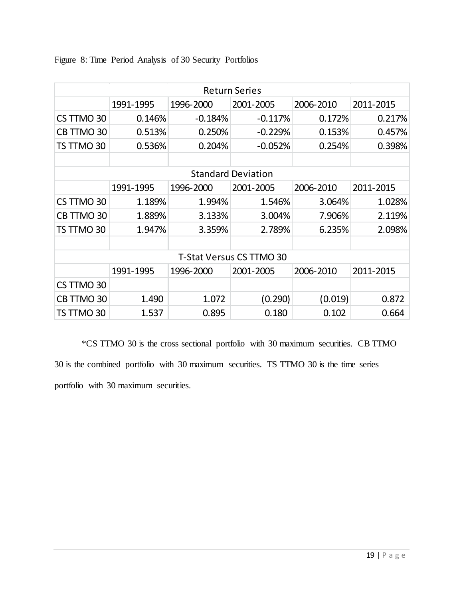|  |  | Figure 8: Time Period Analysis of 30 Security Portfolios |  |
|--|--|----------------------------------------------------------|--|
|  |  |                                                          |  |

| <b>Return Series</b> |           |           |                                 |           |           |  |  |
|----------------------|-----------|-----------|---------------------------------|-----------|-----------|--|--|
|                      | 1991-1995 | 1996-2000 | 2001-2005                       | 2006-2010 | 2011-2015 |  |  |
| CS TTMO 30           | 0.146%    | $-0.184%$ | $-0.117%$                       | 0.172%    | 0.217%    |  |  |
| CB TTMO 30           | 0.513%    | 0.250%    | $-0.229%$                       | 0.153%    | 0.457%    |  |  |
| TS TTMO 30           | 0.536%    | 0.204%    | $-0.052%$                       | 0.254%    | 0.398%    |  |  |
|                      |           |           |                                 |           |           |  |  |
|                      |           |           | <b>Standard Deviation</b>       |           |           |  |  |
|                      | 1991-1995 | 1996-2000 | 2001-2005                       | 2006-2010 | 2011-2015 |  |  |
| CS TTMO 30           | 1.189%    | 1.994%    | 1.546%                          | 3.064%    | 1.028%    |  |  |
| CB TTMO 30           | 1.889%    | 3.133%    | 3.004%                          | 7.906%    | 2.119%    |  |  |
| TS TTMO 30           | 1.947%    | 3.359%    | 2.789%                          | 6.235%    | 2.098%    |  |  |
|                      |           |           |                                 |           |           |  |  |
|                      |           |           | <b>T-Stat Versus CS TTMO 30</b> |           |           |  |  |
|                      | 1991-1995 | 1996-2000 | 2001-2005                       | 2006-2010 | 2011-2015 |  |  |
| CS TTMO 30           |           |           |                                 |           |           |  |  |
| CB TTMO 30           | 1.490     | 1.072     | (0.290)                         | (0.019)   | 0.872     |  |  |
| TS TTMO 30           | 1.537     | 0.895     | 0.180                           | 0.102     | 0.664     |  |  |

\*CS TTMO 30 is the cross sectional portfolio with 30 maximum securities. CB TTMO 30 is the combined portfolio with 30 maximum securities. TS TTMO 30 is the time series portfolio with 30 maximum securities.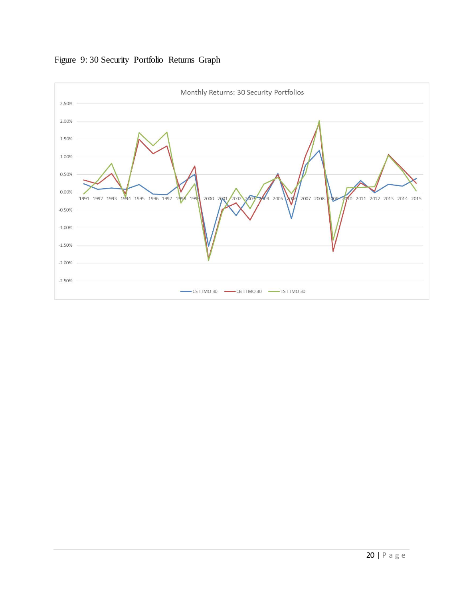

# Figure 9: 30 Security Portfolio Returns Graph